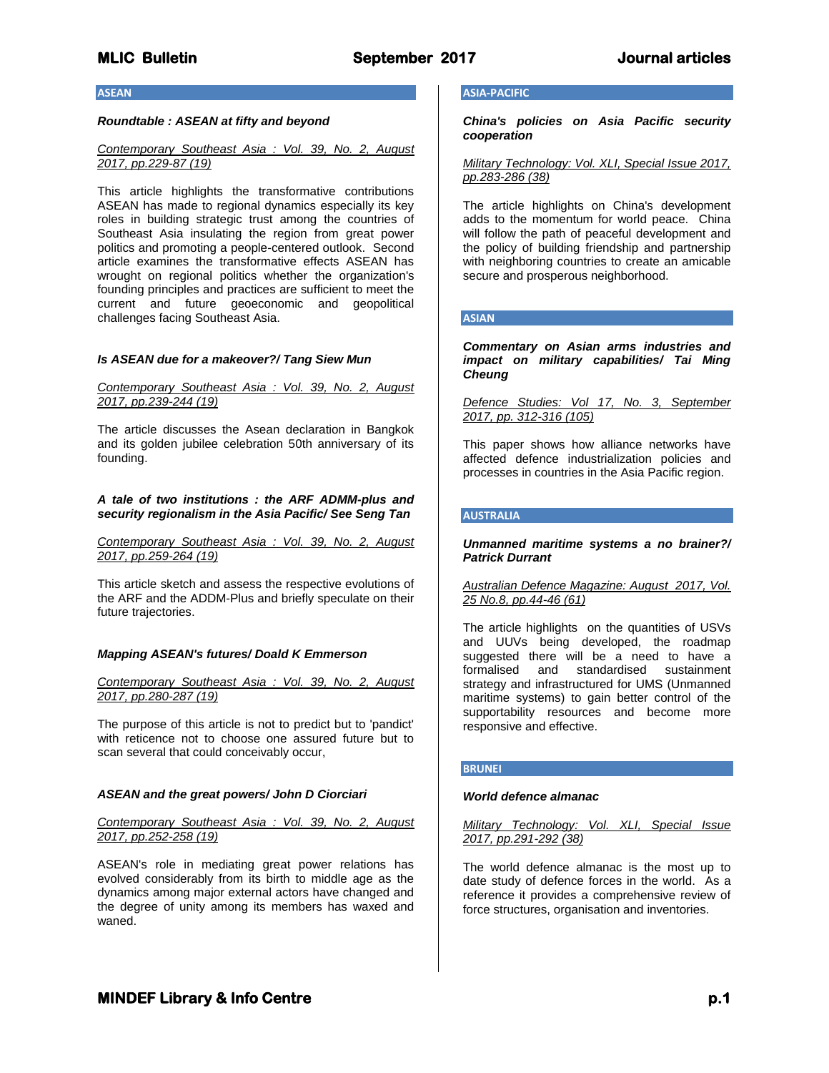#### **ASEAN**

# *Roundtable : ASEAN at fifty and beyond*

# *Contemporary Southeast Asia : Vol. 39, No. 2, August 2017, pp.229-87 (19)*

This article highlights the transformative contributions ASEAN has made to regional dynamics especially its key roles in building strategic trust among the countries of Southeast Asia insulating the region from great power politics and promoting a people-centered outlook. Second article examines the transformative effects ASEAN has wrought on regional politics whether the organization's founding principles and practices are sufficient to meet the current and future geoeconomic and geopolitical challenges facing Southeast Asia.

#### *Is ASEAN due for a makeover?/ Tang Siew Mun*

# *Contemporary Southeast Asia : Vol. 39, No. 2, August 2017, pp.239-244 (19)*

The article discusses the Asean declaration in Bangkok and its golden jubilee celebration 50th anniversary of its founding.

# *A tale of two institutions : the ARF ADMM-plus and security regionalism in the Asia Pacific/ See Seng Tan*

*Contemporary Southeast Asia : Vol. 39, No. 2, August 2017, pp.259-264 (19)*

This article sketch and assess the respective evolutions of the ARF and the ADDM-Plus and briefly speculate on their future trajectories.

#### *Mapping ASEAN's futures/ Doald K Emmerson*

*Contemporary Southeast Asia : Vol. 39, No. 2, August 2017, pp.280-287 (19)*

The purpose of this article is not to predict but to 'pandict' with reticence not to choose one assured future but to scan several that could conceivably occur,

#### *ASEAN and the great powers/ John D Ciorciari*

*Contemporary Southeast Asia : Vol. 39, No. 2, August 2017, pp.252-258 (19)*

ASEAN's role in mediating great power relations has evolved considerably from its birth to middle age as the dynamics among major external actors have changed and the degree of unity among its members has waxed and waned.

# **ASIA-PACIFIC**

*China's policies on Asia Pacific security cooperation*

*Military Technology: Vol. XLI, Special Issue 2017, pp.283-286 (38)*

The article highlights on China's development adds to the momentum for world peace. China will follow the path of peaceful development and the policy of building friendship and partnership with neighboring countries to create an amicable secure and prosperous neighborhood.

# **ASIAN**

*Commentary on Asian arms industries and impact on military capabilities/ Tai Ming Cheung*

*Defence Studies: Vol 17, No. 3, September 2017, pp. 312-316 (105)*

This paper shows how alliance networks have affected defence industrialization policies and processes in countries in the Asia Pacific region.

# **AUSTRALIA**

*Unmanned maritime systems a no brainer?/ Patrick Durrant*

*Australian Defence Magazine: August 2017, Vol. 25 No.8, pp.44-46 (61)*

The article highlights on the quantities of USVs and UUVs being developed, the roadmap suggested there will be a need to have a formalised and standardised sustainment strategy and infrastructured for UMS (Unmanned maritime systems) to gain better control of the supportability resources and become more responsive and effective.

#### **BRUNEI**

### *World defence almanac*

*Military Technology: Vol. XLI, Special Issue 2017, pp.291-292 (38)*

The world defence almanac is the most up to date study of defence forces in the world. As a reference it provides a comprehensive review of force structures, organisation and inventories.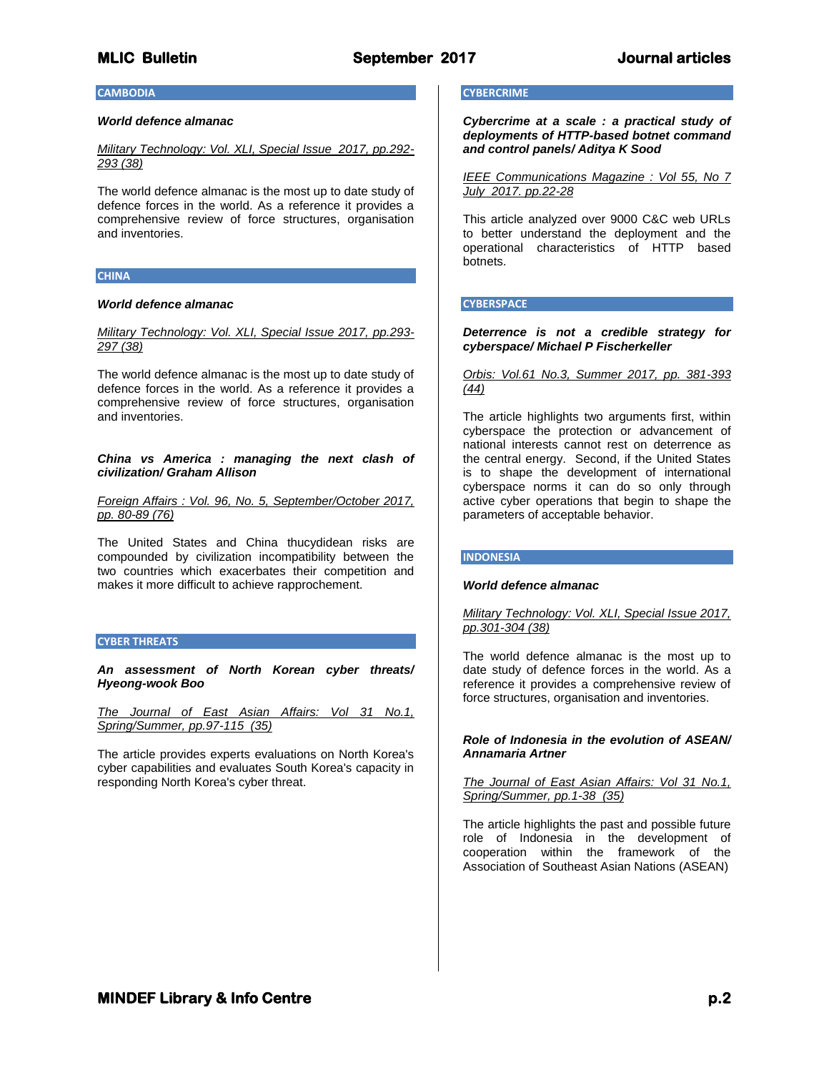# **MLIC Bulletin September 2017 Journal articles**

# **CAMBODIA**

### *World defence almanac*

*Military Technology: Vol. XLI, Special Issue 2017, pp.292- 293 (38)*

The world defence almanac is the most up to date study of defence forces in the world. As a reference it provides a comprehensive review of force structures, organisation and inventories.

#### **CHINA**

# *World defence almanac*

*Military Technology: Vol. XLI, Special Issue 2017, pp.293- 297 (38)*

The world defence almanac is the most up to date study of defence forces in the world. As a reference it provides a comprehensive review of force structures, organisation and inventories.

*China vs America : managing the next clash of civilization/ Graham Allison*

*Foreign Affairs : Vol. 96, No. 5, September/October 2017, pp. 80-89 (76)*

The United States and China thucydidean risks are compounded by civilization incompatibility between the two countries which exacerbates their competition and makes it more difficult to achieve rapprochement.

# **CYBER THREATS**

*An assessment of North Korean cyber threats/ Hyeong-wook Boo*

*The Journal of East Asian Affairs: Vol 31 No.1, Spring/Summer, pp.97-115 (35)*

The article provides experts evaluations on North Korea's cyber capabilities and evaluates South Korea's capacity in responding North Korea's cyber threat.

# **CYBERCRIME**

*Cybercrime at a scale : a practical study of deployments of HTTP-based botnet command and control panels/ Aditya K Sood*

*IEEE Communications Magazine : Vol 55, No 7 July 2017. pp.22-28*

This article analyzed over 9000 C&C web URLs to better understand the deployment and the operational characteristics of HTTP based botnets.

#### **CYBERSPACE**

# *Deterrence is not a credible strategy for cyberspace/ Michael P Fischerkeller*

### *Orbis: Vol.61 No.3, Summer 2017, pp. 381-393 (44)*

The article highlights two arguments first, within cyberspace the protection or advancement of national interests cannot rest on deterrence as the central energy. Second, if the United States is to shape the development of international cyberspace norms it can do so only through active cyber operations that begin to shape the parameters of acceptable behavior.

#### **INDONESIA**

# *World defence almanac*

*Military Technology: Vol. XLI, Special Issue 2017, pp.301-304 (38)*

The world defence almanac is the most up to date study of defence forces in the world. As a reference it provides a comprehensive review of force structures, organisation and inventories.

# *Role of Indonesia in the evolution of ASEAN/ Annamaria Artner*

*The Journal of East Asian Affairs: Vol 31 No.1, Spring/Summer, pp.1-38 (35)*

The article highlights the past and possible future role of Indonesia in the development of cooperation within the framework of the Association of Southeast Asian Nations (ASEAN)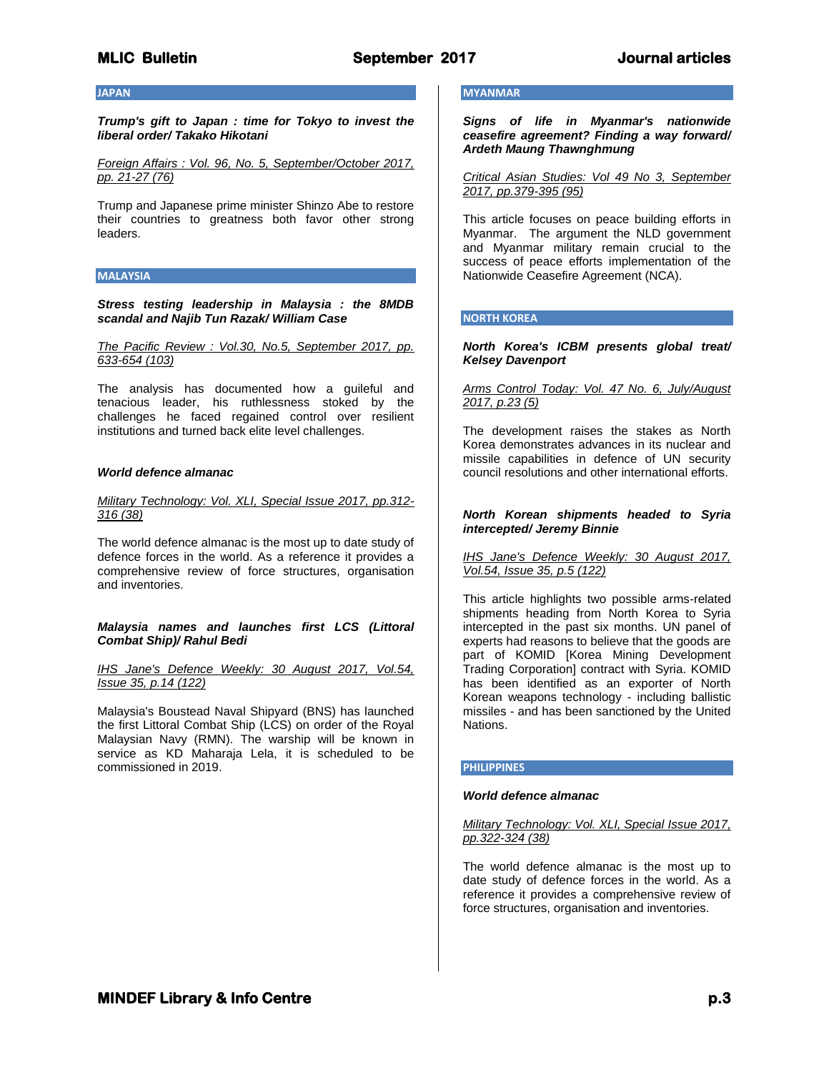# **MLIC Bulletin September 2017 Journal articles**

# **JAPAN**

*Trump's gift to Japan : time for Tokyo to invest the liberal order/ Takako Hikotani*

*Foreign Affairs : Vol. 96, No. 5, September/October 2017, pp. 21-27 (76)*

Trump and Japanese prime minister Shinzo Abe to restore their countries to greatness both favor other strong leaders.

# **MALAYSIA**

*Stress testing leadership in Malaysia : the 8MDB scandal and Najib Tun Razak/ William Case*

*The Pacific Review : Vol.30, No.5, September 2017, pp. 633-654 (103)*

The analysis has documented how a guileful and tenacious leader, his ruthlessness stoked by the challenges he faced regained control over resilient institutions and turned back elite level challenges.

# *World defence almanac*

# *Military Technology: Vol. XLI, Special Issue 2017, pp.312- 316 (38)*

The world defence almanac is the most up to date study of defence forces in the world. As a reference it provides a comprehensive review of force structures, organisation and inventories.

# *Malaysia names and launches first LCS (Littoral Combat Ship)/ Rahul Bedi*

*IHS Jane's Defence Weekly: 30 August 2017, Vol.54, Issue 35, p.14 (122)*

Malaysia's Boustead Naval Shipyard (BNS) has launched the first Littoral Combat Ship (LCS) on order of the Royal Malaysian Navy (RMN). The warship will be known in service as KD Maharaja Lela, it is scheduled to be commissioned in 2019.

# **MYANMAR**

*Signs of life in Myanmar's nationwide ceasefire agreement? Finding a way forward/ Ardeth Maung Thawnghmung*

*Critical Asian Studies: Vol 49 No 3, September 2017, pp.379-395 (95)*

This article focuses on peace building efforts in Myanmar. The argument the NLD government and Myanmar military remain crucial to the success of peace efforts implementation of the Nationwide Ceasefire Agreement (NCA).

# **NORTH KOREA**

# *North Korea's ICBM presents global treat/ Kelsey Davenport*

# *Arms Control Today: Vol. 47 No. 6, July/August 2017, p.23 (5)*

The development raises the stakes as North Korea demonstrates advances in its nuclear and missile capabilities in defence of UN security council resolutions and other international efforts.

# *North Korean shipments headed to Syria intercepted/ Jeremy Binnie*

# *IHS Jane's Defence Weekly: 30 August 2017, Vol.54, Issue 35, p.5 (122)*

This article highlights two possible arms-related shipments heading from North Korea to Syria intercepted in the past six months. UN panel of experts had reasons to believe that the goods are part of KOMID [Korea Mining Development Trading Corporation] contract with Syria. KOMID has been identified as an exporter of North Korean weapons technology - including ballistic missiles - and has been sanctioned by the United Nations.

# **PHILIPPINES**

# *World defence almanac*

*Military Technology: Vol. XLI, Special Issue 2017, pp.322-324 (38)*

The world defence almanac is the most up to date study of defence forces in the world. As a reference it provides a comprehensive review of force structures, organisation and inventories.